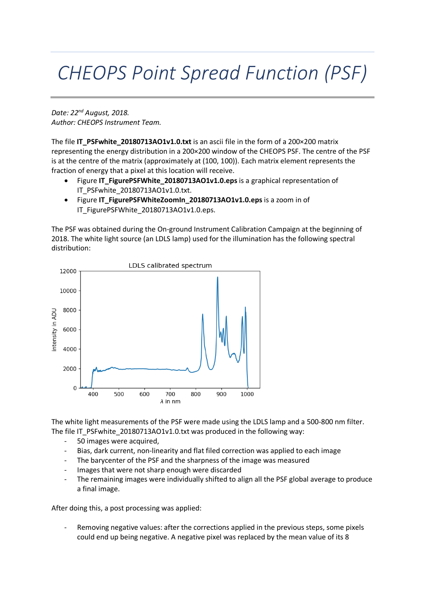## *CHEOPS Point Spread Function (PSF)*

*Date: 22nd August, 2018. Author: CHEOPS Instrument Team.*

The file **IT\_PSFwhite\_20180713AO1v1.0.txt** is an ascii file in the form of a 200×200 matrix representing the energy distribution in a 200×200 window of the CHEOPS PSF. The centre of the PSF is at the centre of the matrix (approximately at (100, 100)). Each matrix element represents the fraction of energy that a pixel at this location will receive.

- Figure **IT\_FigurePSFWhite\_20180713AO1v1.0.eps** is a graphical representation of IT\_PSFwhite\_20180713AO1v1.0.txt.
- Figure **IT\_FigurePSFWhiteZoomIn\_20180713AO1v1.0.eps** is a zoom in of IT\_FigurePSFWhite\_20180713AO1v1.0.eps.

The PSF was obtained during the On-ground Instrument Calibration Campaign at the beginning of 2018. The white light source (an LDLS lamp) used for the illumination has the following spectral distribution:



The white light measurements of the PSF were made using the LDLS lamp and a 500-800 nm filter. The file IT\_PSFwhite\_20180713AO1v1.0.txt was produced in the following way:

- 50 images were acquired,
- Bias, dark current, non-linearity and flat filed correction was applied to each image
- The barycenter of the PSF and the sharpness of the image was measured
- Images that were not sharp enough were discarded
- The remaining images were individually shifted to align all the PSF global average to produce a final image.

After doing this, a post processing was applied:

Removing negative values: after the corrections applied in the previous steps, some pixels could end up being negative. A negative pixel was replaced by the mean value of its 8